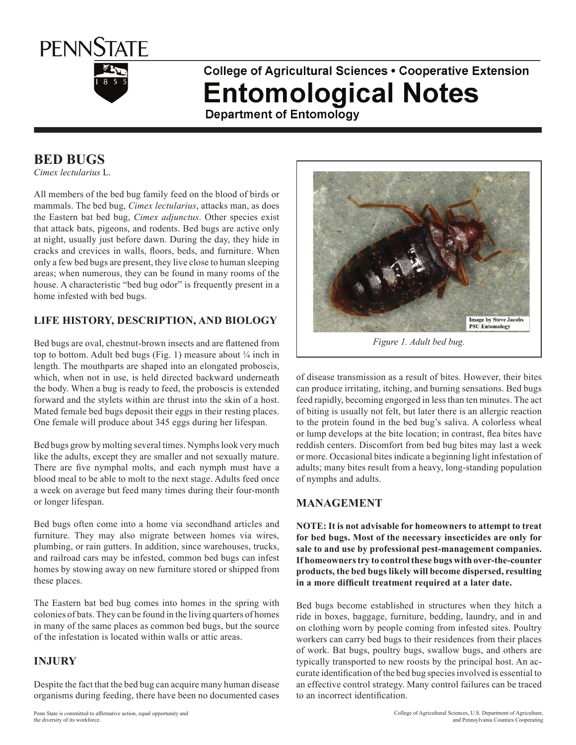

# **College of Agricultural Sciences . Cooperative Extension Entomological Notes**

**Department of Entomology** 

## **Bed Bugs**

*Cimex lectularius* L.

All members of the bed bug family feed on the blood of birds or mammals. The bed bug, *Cimex lectularius*, attacks man, as does the Eastern bat bed bug, *Cimex adjunctus*. Other species exist that attack bats, pigeons, and rodents. Bed bugs are active only at night, usually just before dawn. During the day, they hide in cracks and crevices in walls, floors, beds, and furniture. When only a few bed bugs are present, they live close to human sleeping areas; when numerous, they can be found in many rooms of the house. A characteristic "bed bug odor" is frequently present in a home infested with bed bugs.

### **LIFE HISTORY, DESCRIPTION, AND BIOLOGY**

Bed bugs are oval, chestnut-brown insects and are flattened from top to bottom. Adult bed bugs (Fig. 1) measure about  $\frac{1}{4}$  inch in length. The mouthparts are shaped into an elongated proboscis, which, when not in use, is held directed backward underneath the body. When a bug is ready to feed, the proboscis is extended forward and the stylets within are thrust into the skin of a host. Mated female bed bugs deposit their eggs in their resting places. One female will produce about 345 eggs during her lifespan.

Bed bugs grow by molting several times. Nymphs look very much like the adults, except they are smaller and not sexually mature. There are five nymphal molts, and each nymph must have a blood meal to be able to molt to the next stage. Adults feed once a week on average but feed many times during their four-month or longer lifespan.

Bed bugs often come into a home via secondhand articles and furniture. They may also migrate between homes via wires, plumbing, or rain gutters. In addition, since warehouses, trucks, and railroad cars may be infested, common bed bugs can infest homes by stowing away on new furniture stored or shipped from these places.

The Eastern bat bed bug comes into homes in the spring with colonies of bats. They can be found in the living quarters of homes in many of the same places as common bed bugs, but the source of the infestation is located within walls or attic areas.

#### **INJURY**

Despite the fact that the bed bug can acquire many human disease organisms during feeding, there have been no documented cases



*Figure 1. Adult bed bug.*

of disease transmission as a result of bites. However, their bites can produce irritating, itching, and burning sensations. Bed bugs feed rapidly, becoming engorged in less than ten minutes. The act of biting is usually not felt, but later there is an allergic reaction to the protein found in the bed bug's saliva. A colorless wheal or lump develops at the bite location; in contrast, flea bites have reddish centers. Discomfort from bed bug bites may last a week or more. Occasional bites indicate a beginning light infestation of adults; many bites result from a heavy, long-standing population of nymphs and adults.

#### **MANAGEMENT**

**NOTE: It is not advisable for homeowners to attempt to treat for bed bugs. Most of the necessary insecticides are only for sale to and use by professional pest-management companies. If homeowners try to control these bugs with over-the-counter products, the bed bugs likely will become dispersed, resulting in a more difficult treatment required at a later date.**

Bed bugs become established in structures when they hitch a ride in boxes, baggage, furniture, bedding, laundry, and in and on clothing worn by people coming from infested sites. Poultry workers can carry bed bugs to their residences from their places of work. Bat bugs, poultry bugs, swallow bugs, and others are typically transported to new roosts by the principal host. An accurate identification of the bed bug species involved is essential to an effective control strategy. Many control failures can be traced to an incorrect identification.